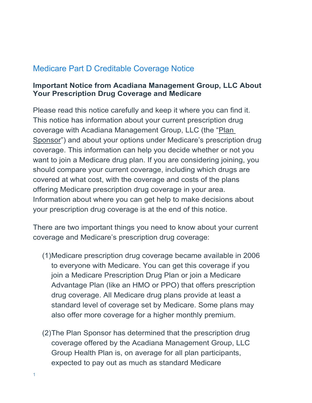# Medicare Part D Creditable Coverage Notice

## **Important Notice from Acadiana Management Group, LLC About Your Prescription Drug Coverage and Medicare**

Please read this notice carefully and keep it where you can find it. This notice has information about your current prescription drug coverage with Acadiana Management Group, LLC (the "Plan Sponsor") and about your options under Medicare's prescription drug coverage. This information can help you decide whether or not you want to join a Medicare drug plan. If you are considering joining, you should compare your current coverage, including which drugs are covered at what cost, with the coverage and costs of the plans offering Medicare prescription drug coverage in your area. Information about where you can get help to make decisions about your prescription drug coverage is at the end of this notice.

There are two important things you need to know about your current coverage and Medicare's prescription drug coverage:

- (1)Medicare prescription drug coverage became available in 2006 to everyone with Medicare. You can get this coverage if you join a Medicare Prescription Drug Plan or join a Medicare Advantage Plan (like an HMO or PPO) that offers prescription drug coverage. All Medicare drug plans provide at least a standard level of coverage set by Medicare. Some plans may also offer more coverage for a higher monthly premium.
- (2)The Plan Sponsor has determined that the prescription drug coverage offered by the Acadiana Management Group, LLC Group Health Plan is, on average for all plan participants, expected to pay out as much as standard Medicare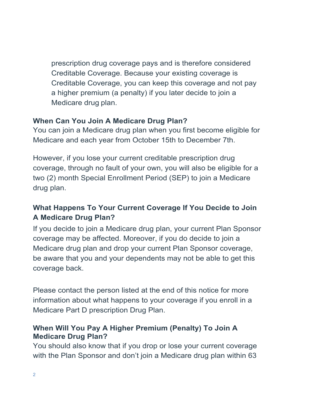prescription drug coverage pays and is therefore considered Creditable Coverage. Because your existing coverage is Creditable Coverage, you can keep this coverage and not pay a higher premium (a penalty) if you later decide to join a Medicare drug plan.

# **When Can You Join A Medicare Drug Plan?**

You can join a Medicare drug plan when you first become eligible for Medicare and each year from October 15th to December 7th.

However, if you lose your current creditable prescription drug coverage, through no fault of your own, you will also be eligible for a two (2) month Special Enrollment Period (SEP) to join a Medicare drug plan.

# **What Happens To Your Current Coverage If You Decide to Join A Medicare Drug Plan?**

If you decide to join a Medicare drug plan, your current Plan Sponsor coverage may be affected. Moreover, if you do decide to join a Medicare drug plan and drop your current Plan Sponsor coverage, be aware that you and your dependents may not be able to get this coverage back.

Please contact the person listed at the end of this notice for more information about what happens to your coverage if you enroll in a Medicare Part D prescription Drug Plan.

# **When Will You Pay A Higher Premium (Penalty) To Join A Medicare Drug Plan?**

You should also know that if you drop or lose your current coverage with the Plan Sponsor and don't join a Medicare drug plan within 63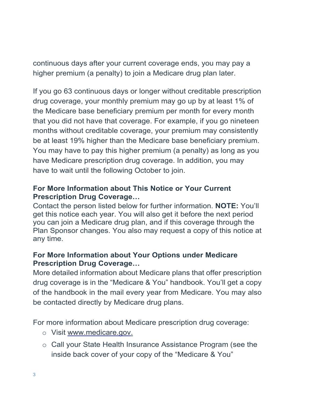continuous days after your current coverage ends, you may pay a higher premium (a penalty) to join a Medicare drug plan later.

If you go 63 continuous days or longer without creditable prescription drug coverage, your monthly premium may go up by at least 1% of the Medicare base beneficiary premium per month for every month that you did not have that coverage. For example, if you go nineteen months without creditable coverage, your premium may consistently be at least 19% higher than the Medicare base beneficiary premium. You may have to pay this higher premium (a penalty) as long as you have Medicare prescription drug coverage. In addition, you may have to wait until the following October to join.

# **For More Information about This Notice or Your Current Prescription Drug Coverage…**

Contact the person listed below for further information. **NOTE:** You'll get this notice each year. You will also get it before the next period you can join a Medicare drug plan, and if this coverage through the Plan Sponsor changes. You also may request a copy of this notice at any time.

## **For More Information about Your Options under Medicare Prescription Drug Coverage…**

More detailed information about Medicare plans that offer prescription drug coverage is in the "Medicare & You" handbook. You'll get a copy of the handbook in the mail every year from Medicare. You may also be contacted directly by Medicare drug plans.

For more information about Medicare prescription drug coverage:

- o Visit [www.medicare.gov.](http://www.medicare.gov./)
- o Call your State Health Insurance Assistance Program (see the inside back cover of your copy of the "Medicare & You"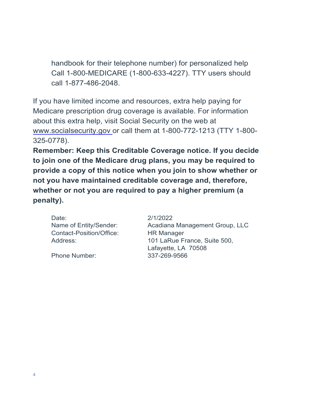handbook for their telephone number) for personalized help Call 1-800-MEDICARE (1-800-633-4227). TTY users should call 1-877-486-2048.

If you have limited income and resources, extra help paying for Medicare prescription drug coverage is available. For information about this extra help, visit Social Security on the web at [www.socialsecurity.gov](http://www.socialsecurity.gov/) or call them at 1-800-772-1213 (TTY 1-800- 325-0778).

**Remember: Keep this Creditable Coverage notice. If you decide to join one of the Medicare drug plans, you may be required to provide a copy of this notice when you join to show whether or not you have maintained creditable coverage and, therefore, whether or not you are required to pay a higher premium (a penalty).**

Date: 2/1/2022 Contact-Position/Office: HR Manager

Phone Number: 337-269-9566

Name of Entity/Sender: Acadiana Management Group, LLC Address: 101 LaRue France, Suite 500, Lafayette, LA 70508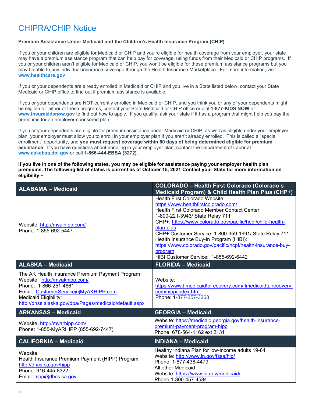# CHIPRA/CHIP Notice

### **Premium Assistance Under Medicaid and the Children's Health Insurance Program (CHIP)**

If you or your children are eligible for Medicaid or CHIP and you're eligible for health coverage from your employer, your state may have a premium assistance program that can help pay for coverage, using funds from their Medicaid or CHIP programs. If you or your children aren't eligible for Medicaid or CHIP, you won't be eligible for these premium assistance programs but you may be able to buy individual insurance coverage through the Health Insurance Marketplace. For more information, visit **[www.healthcare.gov](http://www.healthcare.gov/)**.

If you or your dependents are already enrolled in Medicaid or CHIP and you live in a State listed below, contact your State Medicaid or CHIP office to find out if premium assistance is available.

If you or your dependents are NOT currently enrolled in Medicaid or CHIP, and you think you or any of your dependents might be eligible for either of these programs, contact your State Medicaid or CHIP office or dial **1-877-KIDS NOW** or **[www.insurekidsnow.gov](http://www.insurekidsnow.gov/)** to find out how to apply. If you qualify, ask your state if it has a program that might help you pay the premiums for an employer-sponsored plan.

If you or your dependents are eligible for premium assistance under Medicaid or CHIP, as well as eligible under your employer plan, your employer must allow you to enroll in your employer plan if you aren't already enrolled. This is called a "special enrollment" opportunity, and **you must request coverage within 60 days of being determined eligible for premium assistance**. If you have questions about enrolling in your employer plan, contact the Department of Labor at **[www.askebsa.dol.gov](http://www.askebsa.dol.gov/)** or call **1-866-444-EBSA (3272)**.

**If you live in one of the following states, you may be eligible for assistance paying your employer health plan premiums. The following list of states is current as of October 15, 2021 Contact your State for more information on eligibility** –

| <b>ALABAMA - Medicaid</b>                                                                                                                                                                                                           | <b>COLORADO - Health First Colorado (Colorado's</b><br>Medicaid Program) & Child Health Plan Plus (CHP+)                                                                                                                                                                                                                                                                                                                                                    |  |  |
|-------------------------------------------------------------------------------------------------------------------------------------------------------------------------------------------------------------------------------------|-------------------------------------------------------------------------------------------------------------------------------------------------------------------------------------------------------------------------------------------------------------------------------------------------------------------------------------------------------------------------------------------------------------------------------------------------------------|--|--|
| Website: http://myalhipp.com/<br>Phone: 1-855-692-5447                                                                                                                                                                              | Health First Colorado Website:<br>https://www.healthfirstcolorado.com/<br>Health First Colorado Member Contact Center:<br>1-800-221-3943/ State Relay 711<br>CHP+: https://www.colorado.gov/pacific/hcpf/child-health-<br>plan-plus<br>CHP+ Customer Service: 1-800-359-1991/ State Relay 711<br>Health Insurance Buy-In Program (HIBI):<br>https://www.colorado.gov/pacific/hcpf/health-insurance-buy-<br>program<br>HIBI Customer Service: 1-855-692-6442 |  |  |
| <b>ALASKA - Medicaid</b>                                                                                                                                                                                                            | <b>FLORIDA - Medicaid</b>                                                                                                                                                                                                                                                                                                                                                                                                                                   |  |  |
| The AK Health Insurance Premium Payment Program<br>Website: http://myakhipp.com/<br>Phone: 1-866-251-4861<br>Email: CustomerService@MyAKHIPP.com<br>Medicaid Eligibility:<br>http://dhss.alaska.gov/dpa/Pages/medicaid/default.aspx | Website:<br>https://www.flmedicaidtplrecovery.com/flmedicaidtplrecovery.<br>com/hipp/index.html<br>Phone: 1-877-357-3268                                                                                                                                                                                                                                                                                                                                    |  |  |
| <b>ARKANSAS - Medicaid</b>                                                                                                                                                                                                          | <b>GEORGIA - Medicaid</b>                                                                                                                                                                                                                                                                                                                                                                                                                                   |  |  |
| Website: http://myarhipp.com/<br>Phone: 1-855-MyARHIPP (855-692-7447)                                                                                                                                                               | Website: https://medicaid.georgia.gov/health-insurance-<br>premium-payment-program-hipp<br>Phone: 678-564-1162 ext 2131                                                                                                                                                                                                                                                                                                                                     |  |  |
| <b>CALIFORNIA - Medicaid</b>                                                                                                                                                                                                        | <b>INDIANA - Medicaid</b>                                                                                                                                                                                                                                                                                                                                                                                                                                   |  |  |
| Website:<br>Health Insurance Premium Payment (HIPP) Program<br>http://dhcs.ca.gov/hipp<br>Phone: 916-445-8322<br>Email: hipp@dhcs.ca.gov                                                                                            | Healthy Indiana Plan for low-income adults 19-64<br>Website: http://www.in.gov/fssa/hip/<br>Phone: 1-877-438-4479<br>All other Medicaid<br>Website: https://www.in.gov/medicaid/<br>Phone 1-800-457-4584                                                                                                                                                                                                                                                    |  |  |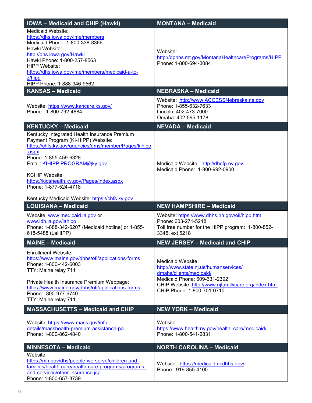| <b>IOWA - Medicaid and CHIP (Hawki)</b>                                                                                                                                                                                                                                                                                                                        | <b>MONTANA - Medicaid</b>                                                                                                                                                                                   |  |  |
|----------------------------------------------------------------------------------------------------------------------------------------------------------------------------------------------------------------------------------------------------------------------------------------------------------------------------------------------------------------|-------------------------------------------------------------------------------------------------------------------------------------------------------------------------------------------------------------|--|--|
| <b>Medicaid Website:</b><br>https://dhs.iowa.gov/ime/members<br>Medicaid Phone: 1-800-338-8366<br>Hawki Website:<br>http://dhs.iowa.gov/Hawki<br>Hawki Phone: 1-800-257-8563<br><b>HIPP Website:</b><br>https://dhs.iowa.gov/ime/members/medicaid-a-to-<br>z/hipp<br>HIPP Phone: 1-888-346-9562                                                                | Website:<br>http://dphhs.mt.gov/MontanaHealthcarePrograms/HIPP<br>Phone: 1-800-694-3084                                                                                                                     |  |  |
| <b>KANSAS - Medicaid</b>                                                                                                                                                                                                                                                                                                                                       | <b>NEBRASKA - Medicaid</b>                                                                                                                                                                                  |  |  |
| Website: https://www.kancare.ks.gov/<br>Phone: 1-800-792-4884                                                                                                                                                                                                                                                                                                  | Website: http://www.ACCESSNebraska.ne.gov<br>Phone: 1-855-632-7633<br>Lincoln: 402-473-7000<br>Omaha: 402-595-1178                                                                                          |  |  |
| <b>KENTUCKY - Medicaid</b>                                                                                                                                                                                                                                                                                                                                     | <b>NEVADA - Medicaid</b>                                                                                                                                                                                    |  |  |
| Kentucky Integrated Health Insurance Premium<br>Payment Program (KI-HIPP) Website:<br>https://chfs.ky.gov/agencies/dms/member/Pages/kihipp<br>.aspx<br>Phone: 1-855-459-6328<br>Email: KIHIPP.PROGRAM@ky.gov<br><b>KCHIP Website:</b><br>https://kidshealth.ky.gov/Pages/index.aspx<br>Phone: 1-877-524-4718<br>Kentucky Medicaid Website: https://chfs.ky.gov | Medicaid Website: http://dhcfp.nv.gov<br>Medicaid Phone: 1-800-992-0900                                                                                                                                     |  |  |
| <b>LOUISIANA - Medicaid</b>                                                                                                                                                                                                                                                                                                                                    | <b>NEW HAMPSHIRE - Medicaid</b>                                                                                                                                                                             |  |  |
| Website: www.medicaid.la.gov or<br>www.ldh.la.gov/lahipp<br>Phone: 1-888-342-6207 (Medicaid hotline) or 1-855-<br>618-5488 (LaHIPP)                                                                                                                                                                                                                            | Website: https://www.dhhs.nh.gov/oii/hipp.htm<br>Phone: 603-271-5218<br>Toll free number for the HIPP program: 1-800-852-<br>3345, ext 5218                                                                 |  |  |
| <b>MAINE - Medicaid</b>                                                                                                                                                                                                                                                                                                                                        | <b>NEW JERSEY - Medicaid and CHIP</b>                                                                                                                                                                       |  |  |
| Enrollment Website:<br>https://www.maine.gov/dhhs/ofi/applications-forms<br>Phone: 1-800-442-6003                                                                                                                                                                                                                                                              | Medicaid Website:<br>http://www.state.nj.us/humanservices/<br>dmahs/clients/medicaid/<br>Medicaid Phone: 609-631-2392<br>CHIP Website: http://www.njfamilycare.org/index.html<br>CHIP Phone: 1-800-701-0710 |  |  |
| TTY: Maine relay 711<br>Private Health Insurance Premium Webpage:<br>https://www.maine.gov/dhhs/ofi/applications-forms<br>Phone: -800-977-6740.<br>TTY: Maine relay 711                                                                                                                                                                                        |                                                                                                                                                                                                             |  |  |
| <b>MASSACHUSETTS - Medicaid and CHIP</b>                                                                                                                                                                                                                                                                                                                       | <b>NEW YORK - Medicaid</b>                                                                                                                                                                                  |  |  |
| Website: https://www.mass.gov/info-<br>details/masshealth-premium-assistance-pa<br>Phone: 1-800-862-4840                                                                                                                                                                                                                                                       | Website:<br>https://www.health.ny.gov/health_care/medicaid/<br>Phone: 1-800-541-2831                                                                                                                        |  |  |
| <b>MINNESOTA - Medicaid</b><br>Website:                                                                                                                                                                                                                                                                                                                        | <b>NORTH CAROLINA - Medicaid</b>                                                                                                                                                                            |  |  |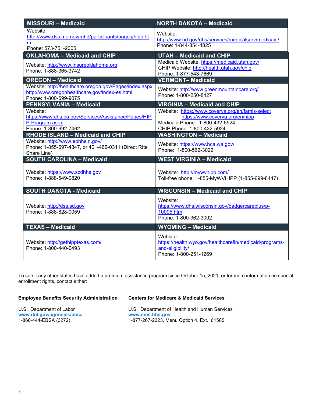| <b>MISSOURI - Medicaid</b>                                                                                                       | <b>NORTH DAKOTA - Medicaid</b>                                                                                                                      |  |  |
|----------------------------------------------------------------------------------------------------------------------------------|-----------------------------------------------------------------------------------------------------------------------------------------------------|--|--|
| Website:<br>http://www.dss.mo.gov/mhd/participants/pages/hipp.ht<br>m<br>Phone: 573-751-2005                                     | Website:<br>http://www.nd.gov/dhs/services/medicalserv/medicaid/<br>Phone: 1-844-854-4825                                                           |  |  |
| <b>OKLAHOMA - Medicaid and CHIP</b>                                                                                              | <b>UTAH - Medicaid and CHIP</b>                                                                                                                     |  |  |
| Website: http://www.insureoklahoma.org<br>Phone: 1-888-365-3742                                                                  | Medicaid Website: https://medicaid.utah.gov/<br>CHIP Website: http://health.utah.gov/chip<br>Phone: 1-877-543-7669                                  |  |  |
| <b>OREGON - Medicaid</b>                                                                                                         | <b>VERMONT-Medicaid</b>                                                                                                                             |  |  |
| Website: http://healthcare.oregon.gov/Pages/index.aspx<br>http://www.oregonhealthcare.gov/index-es.html<br>Phone: 1-800-699-9075 | Website: http://www.greenmountaincare.org/<br>Phone: 1-800-250-8427                                                                                 |  |  |
| <b>PENNSYLVANIA - Medicaid</b>                                                                                                   | <b>VIRGINIA - Medicaid and CHIP</b>                                                                                                                 |  |  |
| Website:<br>https://www.dhs.pa.gov/Services/Assistance/Pages/HIP<br>P-Program.aspx<br>Phone: 1-800-692-7462                      | Website: https://www.coverva.org/en/famis-select<br>https://www.coverva.org/en/hipp<br>Medicaid Phone: 1-800-432-5924<br>CHIP Phone: 1-800-432-5924 |  |  |
| <b>RHODE ISLAND - Medicaid and CHIP</b>                                                                                          | <b>WASHINGTON - Medicaid</b>                                                                                                                        |  |  |
| Website: http://www.eohhs.ri.gov/<br>Phone: 1-855-697-4347, or 401-462-0311 (Direct RIte<br>Share Line)                          | Website: https://www.hca.wa.gov/<br>Phone: 1-800-562-3022                                                                                           |  |  |
| <b>SOUTH CAROLINA - Medicaid</b>                                                                                                 | <b>WEST VIRGINIA - Medicaid</b>                                                                                                                     |  |  |
| Website: https://www.scdhhs.gov<br>Phone: 1-888-549-0820                                                                         | Website: http://mywvhipp.com/<br>Toll-free phone: 1-855-MyWVHIPP (1-855-699-8447)                                                                   |  |  |
| <b>SOUTH DAKOTA - Medicaid</b>                                                                                                   | <b>WISCONSIN - Medicaid and CHIP</b>                                                                                                                |  |  |
| Website: http://dss.sd.gov<br>Phone: 1-888-828-0059                                                                              | Website:<br>https://www.dhs.wisconsin.gov/badgercareplus/p-<br>10095.htm<br>Phone: 1-800-362-3002                                                   |  |  |
| <b>TEXAS - Medicaid</b>                                                                                                          | <b>WYOMING - Medicaid</b>                                                                                                                           |  |  |
| Website: http://gethipptexas.com/<br>Phone: 1-800-440-0493                                                                       | Website:<br>https://health.wyo.gov/healthcarefin/medicaid/programs-<br>and-eligibility/<br>Phone: 1-800-251-1269                                    |  |  |

To see if any other states have added a premium assistance program since October 15, 2021, or for more information on special enrollment rights, contact either:

| <b>Employee Benefits Security Administration</b> | <b>Centers for Medicare &amp; Medicaid Services</b> |
|--------------------------------------------------|-----------------------------------------------------|
| U.S. Department of Labor                         | U.S. Department of Health and Human Services        |
| www.dol.gov/agencies/ebsa                        | www.cms.hhs.gov                                     |
| 1-866-444-EBSA (3272)                            | 1-877-267-2323, Menu Option 4, Ext. 61565           |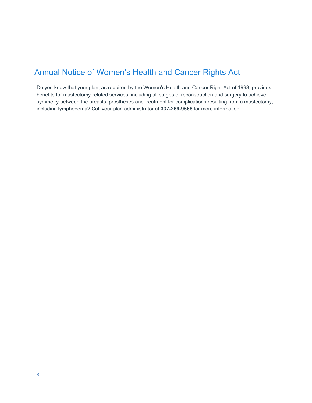# Annual Notice of Women's Health and Cancer Rights Act

Do you know that your plan, as required by the Women's Health and Cancer Right Act of 1998, provides benefits for mastectomy-related services, including all stages of reconstruction and surgery to achieve symmetry between the breasts, prostheses and treatment for complications resulting from a mastectomy, including lymphedema? Call your plan administrator at **337-269-9566** for more information.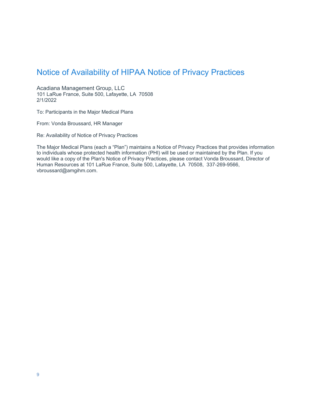# Notice of Availability of HIPAA Notice of Privacy Practices

Acadiana Management Group, LLC 101 LaRue France, Suite 500, Lafayette, LA 70508 2/1/2022

To: Participants in the Major Medical Plans

From: Vonda Broussard, HR Manager

Re: Availability of Notice of Privacy Practices

The Major Medical Plans (each a "Plan") maintains a Notice of Privacy Practices that provides information to individuals whose protected health information (PHI) will be used or maintained by the Plan. If you would like a copy of the Plan's Notice of Privacy Practices, please contact Vonda Broussard, Director of Human Resources at 101 LaRue France, Suite 500, Lafayette, LA 70508, 337-269-9566, vbroussard@amgihm.com.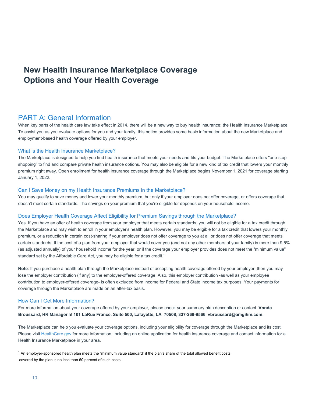# **New Health Insurance Marketplace Coverage Options and Your Health Coverage**

## PART A: General Information

When key parts of the health care law take effect in 2014, there will be a new way to buy health insurance: the Health Insurance Marketplace. To assist you as you evaluate options for you and your family, this notice provides some basic information about the new Marketplace and employment-based health coverage offered by your employer.

#### What is the Health Insurance Marketplace?

The Marketplace is designed to help you find health insurance that meets your needs and fits your budget. The Marketplace offers "one-stop shopping" to find and compare private health insurance options. You may also be eligible for a new kind of tax credit that lowers your monthly premium right away. Open enrollment for health insurance coverage through the Marketplace begins November 1, 2021 for coverage starting January 1, 2022.

### Can I Save Money on my Health Insurance Premiums in the Marketplace?

You may qualify to save money and lower your monthly premium, but only if your employer does not offer coverage, or offers coverage that doesn't meet certain standards. The savings on your premium that you're eligible for depends on your household income.

#### Does Employer Health Coverage Affect Eligibility for Premium Savings through the Marketplace?

Yes. If you have an offer of health coverage from your employer that meets certain standards, you will not be eligible for a tax credit through the Marketplace and may wish to enroll in your employer's health plan. However, you may be eligible for a tax credit that lowers your monthly premium, or a reduction in certain cost-sharing if your employer does not offer coverage to you at all or does not offer coverage that meets certain standards. If the cost of a plan from your employer that would cover you (and not any other members of your family) is more than 9.5% (as adjusted annually) of your household income for the year, or if the coverage your employer provides does not meet the "minimum value" standard set by the Affordable Care Act, you may be eligible for a tax credit.<sup>1</sup>

**Note**: If you purchase a health plan through the Marketplace instead of accepting health coverage offered by your employer, then you may lose the employer contribution (if any) to the employer-offered coverage. Also, this employer contribution -as well as your employee contribution to employer-offered coverage- is often excluded from income for Federal and State income tax purposes. Your payments for coverage through the Marketplace are made on an after-tax basis.

#### How Can I Get More Information?

For more information about your coverage offered by your employer, please check your summary plan description or contact. **Vonda Broussard, HR Manager** at **101 LaRue France, Suite 500, Lafayette, LA 70508**, **337-269-9566**, **vbroussard@amgihm.com**.

The Marketplace can help you evaluate your coverage options, including your eligibility for coverage through the Marketplace and its cost. Please visit [HealthCare.gov](http://www.healthcare.gov/) for more information, including an online application for health insurance coverage and contact information for a Health Insurance Marketplace in your area.

 $1$  An employer-sponsored health plan meets the "minimum value standard" if the plan's share of the total allowed benefit costs covered by the plan is no less than 60 percent of such costs.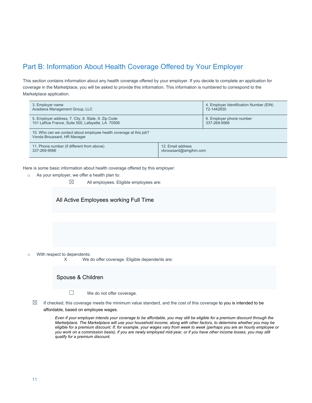# Part B: Information About Health Coverage Offered by Your Employer

This section contains information about any health coverage offered by your employer. If you decide to complete an application for coverage in the Marketplace, you will be asked to provide this information. This information is numbered to correspond to the Marketplace application.

| 3. Employer name<br>Acadiana Management Group, LLC                                                      |                                            | 4. Employer Identification Number (EIN)<br>72-1442830 |
|---------------------------------------------------------------------------------------------------------|--------------------------------------------|-------------------------------------------------------|
| 5. Employer address, 7. City, 8. State, 9. Zip Code<br>101 LaRue France, Suite 500, Lafayette, LA 70508 |                                            | 6. Employer phone number<br>337-269-9566              |
| 10. Who can we contact about employee health coverage at this job?<br>Vonda Broussard, HR Manager       |                                            |                                                       |
| 11. Phone number (if different from above)<br>337-269-9566                                              | 12. Email address<br>vbroussard@amgihm.com |                                                       |

Here is some basic information about health coverage offered by this employer:

- o As your employer, we offer a health plan to:
	- $\boxtimes$  All employees. Eligible employees are:

## All Active Employees working Full Time

o With respect to dependents:<br>X We or

We do offer coverage. Eligible dependents are:

Spouse & Children

- ☐ We do not offer coverage.
- $\boxtimes$  If checked, this coverage meets the minimum value standard, and the cost of this coverage to you is intended to be affordable, based on employee wages.

*Even if your employer intends your coverage to be affordable, you may still be eligible for a premium discount through the Marketplace. The Marketplace will use your household income, along with other factors, to determine whether you may be eligible for a premium discount. If, for example, your wages vary from week to week (perhaps you are an hourly employee or you work on a commission basis), if you are newly employed mid-year, or if you have other income losses, you may still qualify for a premium discount.*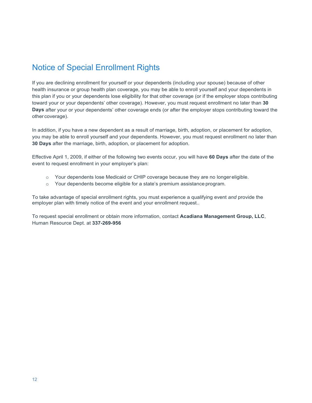# Notice of Special Enrollment Rights

If you are declining enrollment for yourself or your dependents (including your spouse) because of other health insurance or group health plan coverage, you may be able to enroll yourself and your dependents in this plan if you or your dependents lose eligibility for that other coverage (or if the employer stops contributing toward your or your dependents' other coverage). However, you must request enrollment no later than **30 Days** after your or your dependents' other coverage ends (or after the employer stops contributing toward the other coverage).

In addition, if you have a new dependent as a result of marriage, birth, adoption, or placement for adoption, you may be able to enroll yourself and your dependents. However, you must request enrollment no later than **30 Days** after the marriage, birth, adoption, or placement for adoption.

Effective April 1, 2009, if either of the following two events occur, you will have **60 Days** after the date of the event to request enrollment in your employer's plan:

- $\circ$  Your dependents lose Medicaid or CHIP coverage because they are no longereligible.
- $\circ$  Your dependents become eligible for a state's premium assistance program.

To take advantage of special enrollment rights, you must experience a qualifying event *and* provide the employer plan with timely notice of the event and your enrollment request..

To request special enrollment or obtain more information, contact **Acadiana Management Group, LLC**, Human Resource Dept. at **337-269-956**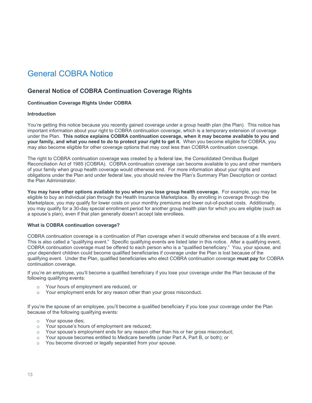# General COBRA Notice

## **General Notice of COBRA Continuation Coverage Rights**

### **Continuation Coverage Rights Under COBRA**

### **Introduction**

You're getting this notice because you recently gained coverage under a group health plan (the Plan). This notice has important information about your right to COBRA continuation coverage, which is a temporary extension of coverage under the Plan. **This notice explains COBRA continuation coverage, when it may become available to you and your family, and what you need to do to protect your right to get it.** When you become eligible for COBRA, you may also become eligible for other coverage options that may cost less than COBRA continuation coverage.

The right to COBRA continuation coverage was created by a federal law, the Consolidated Omnibus Budget Reconciliation Act of 1985 (COBRA). COBRA continuation coverage can become available to you and other members of your family when group health coverage would otherwise end. For more information about your rights and obligations under the Plan and under federal law, you should review the Plan's Summary Plan Description or contact the Plan Administrator.

**You may have other options available to you when you lose group health coverage.** For example, you may be eligible to buy an individual plan through the Health Insurance Marketplace. By enrolling in coverage through the Marketplace, you may qualify for lower costs on your monthly premiums and lower out-of-pocket costs. Additionally, you may qualify for a 30-day special enrollment period for another group health plan for which you are eligible (such as a spouse's plan), even if that plan generally doesn't accept late enrollees.

#### **What is COBRA continuation coverage?**

COBRA continuation coverage is a continuation of Plan coverage when it would otherwise end because of a life event. This is also called a "qualifying event." Specific qualifying events are listed later in this notice. After a qualifying event, COBRA continuation coverage must be offered to each person who is a "qualified beneficiary." You, your spouse, and your dependent children could become qualified beneficiaries if coverage under the Plan is lost because of the qualifying event. Under the Plan, qualified beneficiaries who elect COBRA continuation coverage **must pay** for COBRA continuation coverage.

If you're an employee, you'll become a qualified beneficiary if you lose your coverage under the Plan because of the following qualifying events:

- o Your hours of employment are reduced, or<br>
o Your employment ends for any reason othe
- Your employment ends for any reason other than your gross misconduct.

If you're the spouse of an employee, you'll become a qualified beneficiary if you lose your coverage under the Plan because of the following qualifying events:

- o Your spouse dies;
- o Your spouse's hours of employment are reduced;
- $\circ$  Your spouse's employment ends for any reason other than his or her gross misconduct;
- $\circ$  Your spouse becomes entitled to Medicare benefits (under Part A, Part B, or both); or
- o You become divorced or legally separated from your spouse.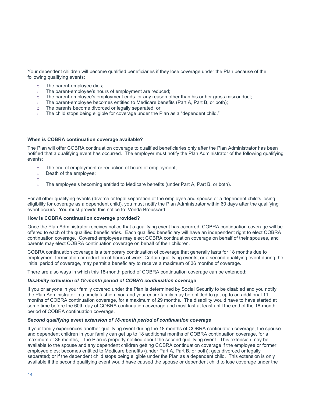Your dependent children will become qualified beneficiaries if they lose coverage under the Plan because of the following qualifying events:

- $\circ$  The parent-employee dies;<br> $\circ$  The parent-employee's hou
- o The parent-employee's hours of employment are reduced;<br>
o The parent-employee's employment ends for any reason of
- The parent-employee's employment ends for any reason other than his or her gross misconduct;
- $\circ$  The parent-employee becomes entitled to Medicare benefits (Part A, Part B, or both);
- o The parents become divorced or legally separated; or
- o The child stops being eligible for coverage under the Plan as a "dependent child."

#### **When is COBRA continuation coverage available?**

The Plan will offer COBRA continuation coverage to qualified beneficiaries only after the Plan Administrator has been notified that a qualifying event has occurred. The employer must notify the Plan Administrator of the following qualifying events:

- $\circ$  The end of employment or reduction of hours of employment;<br>  $\circ$  Death of the employee:
- Death of the employee;
- o
- The employee's becoming entitled to Medicare benefits (under Part A, Part B, or both).

For all other qualifying events (divorce or legal separation of the employee and spouse or a dependent child's losing eligibility for coverage as a dependent child), you must notify the Plan Administrator within 60 days after the qualifying event occurs. You must provide this notice to: Vonda Broussard.

#### **How is COBRA continuation coverage provided?**

Once the Plan Administrator receives notice that a qualifying event has occurred, COBRA continuation coverage will be offered to each of the qualified beneficiaries. Each qualified beneficiary will have an independent right to elect COBRA continuation coverage. Covered employees may elect COBRA continuation coverage on behalf of their spouses, and parents may elect COBRA continuation coverage on behalf of their children.

COBRA continuation coverage is a temporary continuation of coverage that generally lasts for 18 months due to employment termination or reduction of hours of work. Certain qualifying events, or a second qualifying event during the initial period of coverage, may permit a beneficiary to receive a maximum of 36 months of coverage.

There are also ways in which this 18-month period of COBRA continuation coverage can be extended:

#### *Disability extension of 18-month period of COBRA continuation coverage*

If you or anyone in your family covered under the Plan is determined by Social Security to be disabled and you notify the Plan Administrator in a timely fashion, you and your entire family may be entitled to get up to an additional 11 months of COBRA continuation coverage, for a maximum of 29 months. The disability would have to have started at some time before the 60th day of COBRA continuation coverage and must last at least until the end of the 18-month period of COBRA continuation coverage.

### *Second qualifying event extension of 18-month period of continuation coverage*

If your family experiences another qualifying event during the 18 months of COBRA continuation coverage, the spouse and dependent children in your family can get up to 18 additional months of COBRA continuation coverage, for a maximum of 36 months, if the Plan is properly notified about the second qualifying event. This extension may be available to the spouse and any dependent children getting COBRA continuation coverage if the employee or former employee dies; becomes entitled to Medicare benefits (under Part A, Part B, or both); gets divorced or legally separated; or if the dependent child stops being eligible under the Plan as a dependent child. This extension is only available if the second qualifying event would have caused the spouse or dependent child to lose coverage under the